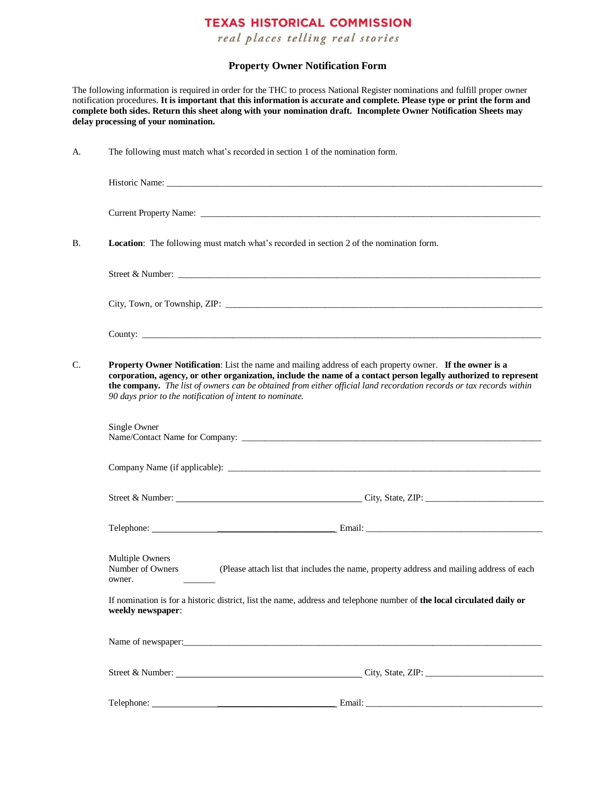## **TEXAS HISTORICAL COMMISSION**

real places telling real stories

## **Property Owner Notification Form**

The following information is required in order for the THC to process National Register nominations and fulfill proper owner notification procedures. **It is important that this information is accurate and complete. Please type or print the form and complete both sides. Return this sheet along with your nomination draft. Incomplete Owner Notification Sheets may delay processing of your nomination.** 

| A. |                                                                                                                                             | The following must match what's recorded in section 1 of the nomination form.                                                                                                                                                                                                                                                                                                                                   |  |
|----|---------------------------------------------------------------------------------------------------------------------------------------------|-----------------------------------------------------------------------------------------------------------------------------------------------------------------------------------------------------------------------------------------------------------------------------------------------------------------------------------------------------------------------------------------------------------------|--|
|    |                                                                                                                                             |                                                                                                                                                                                                                                                                                                                                                                                                                 |  |
|    |                                                                                                                                             |                                                                                                                                                                                                                                                                                                                                                                                                                 |  |
| В. |                                                                                                                                             | Location: The following must match what's recorded in section 2 of the nomination form.                                                                                                                                                                                                                                                                                                                         |  |
|    |                                                                                                                                             | Street & Number: New York Street & Number:                                                                                                                                                                                                                                                                                                                                                                      |  |
|    |                                                                                                                                             |                                                                                                                                                                                                                                                                                                                                                                                                                 |  |
|    |                                                                                                                                             |                                                                                                                                                                                                                                                                                                                                                                                                                 |  |
| C. |                                                                                                                                             | Property Owner Notification: List the name and mailing address of each property owner. If the owner is a<br>corporation, agency, or other organization, include the name of a contact person legally authorized to represent<br>the company. The list of owners can be obtained from either official land recordation records or tax records within<br>90 days prior to the notification of intent to nominate. |  |
|    | Single Owner                                                                                                                                |                                                                                                                                                                                                                                                                                                                                                                                                                 |  |
|    |                                                                                                                                             |                                                                                                                                                                                                                                                                                                                                                                                                                 |  |
|    |                                                                                                                                             | Street & Number: City, State, ZIP: City, State, ZIP:                                                                                                                                                                                                                                                                                                                                                            |  |
|    |                                                                                                                                             |                                                                                                                                                                                                                                                                                                                                                                                                                 |  |
|    | Multiple Owners<br>Number of Owners<br>owner.                                                                                               | (Please attach list that includes the name, property address and mailing address of each                                                                                                                                                                                                                                                                                                                        |  |
|    | If nomination is for a historic district, list the name, address and telephone number of the local circulated daily or<br>weekly newspaper: |                                                                                                                                                                                                                                                                                                                                                                                                                 |  |
|    |                                                                                                                                             |                                                                                                                                                                                                                                                                                                                                                                                                                 |  |
|    |                                                                                                                                             |                                                                                                                                                                                                                                                                                                                                                                                                                 |  |
|    |                                                                                                                                             |                                                                                                                                                                                                                                                                                                                                                                                                                 |  |